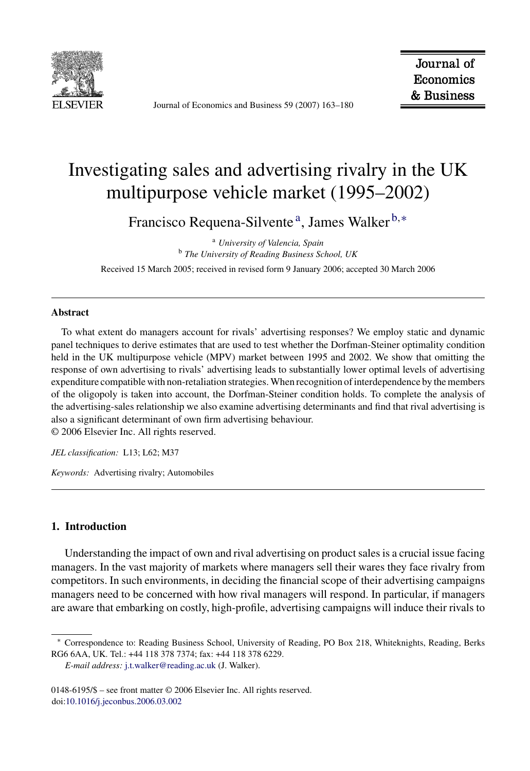

Journal of Economics and Business 59 (2007) 163–180

## Investigating sales and advertising rivalry in the UK multipurpose vehicle market (1995–2002)

Francisco Requena-Silvente<sup>a</sup>, James Walker<sup>b,∗</sup>

<sup>a</sup> *University of Valencia, Spain* <sup>b</sup> *The University of Reading Business School, UK*

Received 15 March 2005; received in revised form 9 January 2006; accepted 30 March 2006

## **Abstract**

To what extent do managers account for rivals' advertising responses? We employ static and dynamic panel techniques to derive estimates that are used to test whether the Dorfman-Steiner optimality condition held in the UK multipurpose vehicle (MPV) market between 1995 and 2002. We show that omitting the response of own advertising to rivals' advertising leads to substantially lower optimal levels of advertising expenditure compatible with non-retaliation strategies. When recognition of interdependence by the members of the oligopoly is taken into account, the Dorfman-Steiner condition holds. To complete the analysis of the advertising-sales relationship we also examine advertising determinants and find that rival advertising is also a significant determinant of own firm advertising behaviour.

© 2006 Elsevier Inc. All rights reserved.

*JEL classification:* L13; L62; M37

*Keywords:* Advertising rivalry; Automobiles

## **1. Introduction**

Understanding the impact of own and rival advertising on product sales is a crucial issue facing managers. In the vast majority of markets where managers sell their wares they face rivalry from competitors. In such environments, in deciding the financial scope of their advertising campaigns managers need to be concerned with how rival managers will respond. In particular, if managers are aware that embarking on costly, high-profile, advertising campaigns will induce their rivals to

<sup>∗</sup> Correspondence to: Reading Business School, University of Reading, PO Box 218, Whiteknights, Reading, Berks RG6 6AA, UK. Tel.: +44 118 378 7374; fax: +44 118 378 6229.

*E-mail address:* [j.t.walker@reading.ac.uk](mailto:j.t.walker@reading.ac.uk) (J. Walker).

<sup>0148-6195/\$ –</sup> see front matter © 2006 Elsevier Inc. All rights reserved. doi[:10.1016/j.jeconbus.2006.03.002](dx.doi.org/10.1016/j.jeconbus.2006.03.002)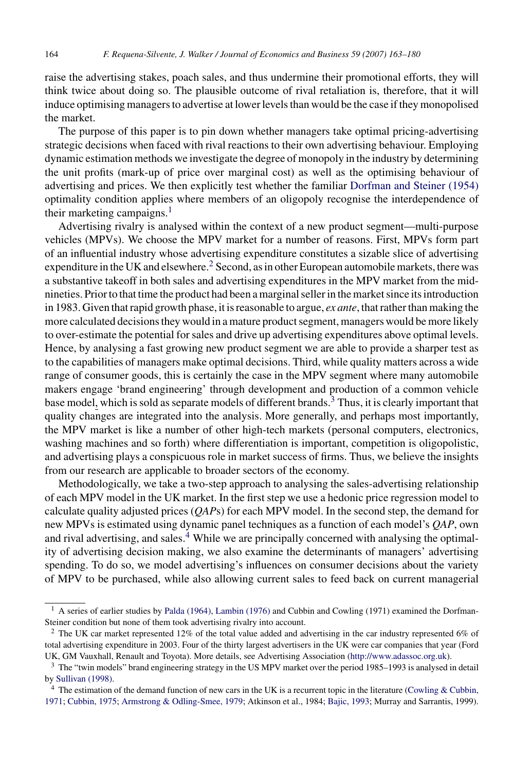raise the advertising stakes, poach sales, and thus undermine their promotional efforts, they will think twice about doing so. The plausible outcome of rival retaliation is, therefore, that it will induce optimising managers to advertise at lower levels than would be the case if they monopolised the market.

The purpose of this paper is to pin down whether managers take optimal pricing-advertising strategic decisions when faced with rival reactions to their own advertising behaviour. Employing dynamic estimation methods we investigate the degree of monopoly in the industry by determining the unit profits (mark-up of price over marginal cost) as well as the optimising behaviour of advertising and prices. We then explicitly test whether the familiar [Dorfman and Steiner \(1954\)](#page--1-0) optimality condition applies where members of an oligopoly recognise the interdependence of their marketing campaigns. $<sup>1</sup>$ </sup>

Advertising rivalry is analysed within the context of a new product segment—multi-purpose vehicles (MPVs). We choose the MPV market for a number of reasons. First, MPVs form part of an influential industry whose advertising expenditure constitutes a sizable slice of advertising expenditure in the UK and elsewhere.<sup>2</sup> Second, as in other European automobile markets, there was a substantive takeoff in both sales and advertising expenditures in the MPV market from the midnineties. Prior to that time the product had been a marginal seller in the market since its introduction in 1983. Given that rapid growth phase, it is reasonable to argue, *ex ante*, that rather than making the more calculated decisions they would in a mature product segment, managers would be more likely to over-estimate the potential for sales and drive up advertising expenditures above optimal levels. Hence, by analysing a fast growing new product segment we are able to provide a sharper test as to the capabilities of managers make optimal decisions. Third, while quality matters across a wide range of consumer goods, this is certainly the case in the MPV segment where many automobile makers engage 'brand engineering' through development and production of a common vehicle base model, which is sold as separate models of different brands.<sup>3</sup> Thus, it is clearly important that quality changes are integrated into the analysis. More generally, and perhaps most importantly, the MPV market is like a number of other high-tech markets (personal computers, electronics, washing machines and so forth) where differentiation is important, competition is oligopolistic, and advertising plays a conspicuous role in market success of firms. Thus, we believe the insights from our research are applicable to broader sectors of the economy.

Methodologically, we take a two-step approach to analysing the sales-advertising relationship of each MPV model in the UK market. In the first step we use a hedonic price regression model to calculate quality adjusted prices (*QAP*s) for each MPV model. In the second step, the demand for new MPVs is estimated using dynamic panel techniques as a function of each model's *QAP*, own and rival advertising, and sales.<sup>4</sup> While we are principally concerned with analysing the optimality of advertising decision making, we also examine the determinants of managers' advertising spending. To do so, we model advertising's influences on consumer decisions about the variety of MPV to be purchased, while also allowing current sales to feed back on current managerial

 $1$  A series of earlier studies by [Palda \(1964\),](#page--1-0) [Lambin \(1976\)](#page--1-0) and Cubbin and Cowling (1971) examined the Dorfman-Steiner condition but none of them took advertising rivalry into account.

<sup>&</sup>lt;sup>2</sup> The UK car market represented 12% of the total value added and advertising in the car industry represented 6% of total advertising expenditure in 2003. Four of the thirty largest advertisers in the UK were car companies that year (Ford UK, GM Vauxhall, Renault and Toyota). More details, see Advertising Association ([http://www.adassoc.org.uk\)](http://www.adassoc.org.uk/).

<sup>&</sup>lt;sup>3</sup> The "twin models" brand engineering strategy in the US MPV market over the period 1985–1993 is analysed in detail by [Sullivan \(1998\).](#page--1-0)

 $4$  The estimation of the demand function of new cars in the UK is a recurrent topic in the literature ([Cowling & Cubbin,](#page--1-0) [1971;](#page--1-0) [Cubbin, 1975;](#page--1-0) [Armstrong & Odling-Smee, 1979; A](#page--1-0)tkinson et al., 1984; [Bajic, 1993; M](#page--1-0)urray and Sarrantis, 1999).